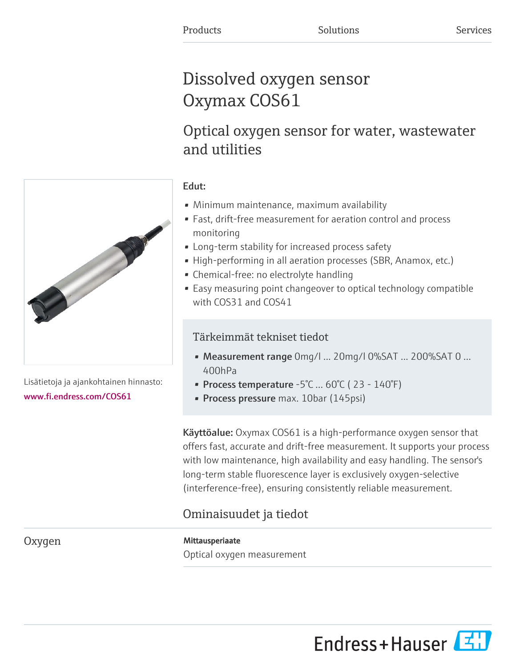# Dissolved oxygen sensor Oxymax COS61

# Optical oxygen sensor for water, wastewater and utilities

### Edut:

- Minimum maintenance, maximum availability
- Fast, drift-free measurement for aeration control and process monitoring
- Long-term stability for increased process safety
- High-performing in all aeration processes (SBR, Anamox, etc.)
- Chemical-free: no electrolyte handling
- Easy measuring point changeover to optical technology compatible with COS31 and COS41

### Tärkeimmät tekniset tiedot

- Measurement range 0mg/l ... 20mg/l 0%SAT ... 200%SAT 0 ... 400hPa
- Process temperature  $-5^{\circ}$ C ... 60 $^{\circ}$ C (23 140 $^{\circ}$ F)
- Process pressure max. 10bar (145psi)

Käyttöalue: Oxymax COS61 is a high-performance oxygen sensor that offers fast, accurate and drift-free measurement. It supports your process with low maintenance, high availability and easy handling. The sensor's long-term stable fluorescence layer is exclusively oxygen-selective (interference-free), ensuring consistently reliable measurement.

## Ominaisuudet ja tiedot

Oxygen Mittausperiaate Optical oxygen measurement



Lisätietoja ja ajankohtainen hinnasto: [www.fi.endress.com/COS61](https://www.fi.endress.com/COS61)

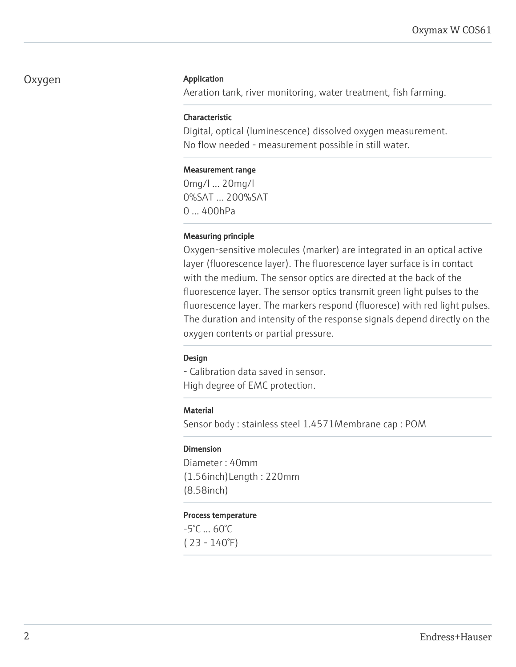### Oxygen Application

Aeration tank, river monitoring, water treatment, fish farming.

#### Characteristic

Digital, optical (luminescence) dissolved oxygen measurement. No flow needed - measurement possible in still water.

#### Measurement range

0mg/l ... 20mg/l 0%SAT ... 200%SAT 0 ... 400hPa

#### Measuring principle

Oxygen-sensitive molecules (marker) are integrated in an optical active layer (fluorescence layer). The fluorescence layer surface is in contact with the medium. The sensor optics are directed at the back of the fluorescence layer. The sensor optics transmit green light pulses to the fluorescence layer. The markers respond (fluoresce) with red light pulses. The duration and intensity of the response signals depend directly on the oxygen contents or partial pressure.

#### Design

- Calibration data saved in sensor. High degree of EMC protection.

#### **Material**

Sensor body : stainless steel 1.4571Membrane cap : POM

#### Dimension

Diameter : 40mm (1.56inch)Length : 220mm (8.58inch)

#### Process temperature

-5°C ... 60°C ( 23 - 140°F)